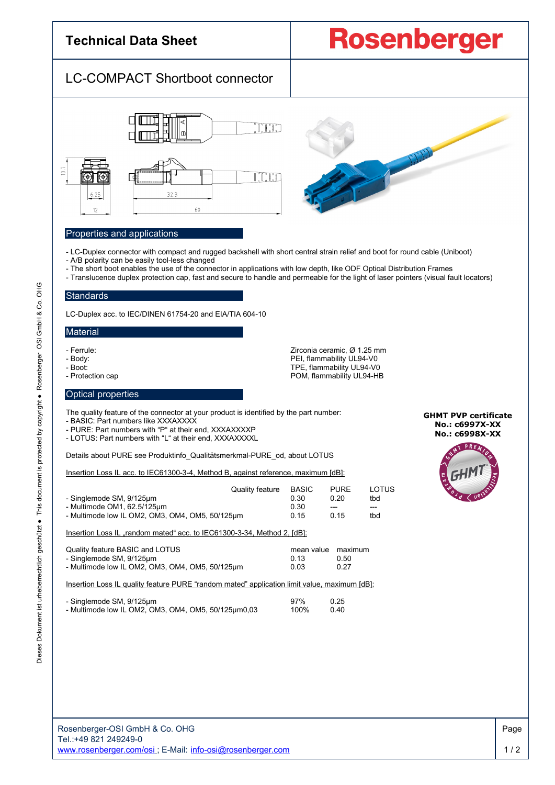## **Technical Data Sheet**

# **Rosenberger**

## LC-COMPACT Shortboot connector





#### Properties and applications

- LC-Duplex connector with compact and rugged backshell with short central strain relief and boot for round cable (Uniboot)
- A/B polarity can be easily tool-less changed
- The short boot enables the use of the connector in applications with low depth, like ODF Optical Distribution Frames
- Translucence duplex protection cap, fast and secure to handle and permeable for the light of laser pointers (visual fault locators)

#### **Standards**

LC-Duplex acc. to IEC/DINEN 61754-20 and EIA/TIA 604-10

#### **Material**

- 
- 
- 
- 

- Ferrule: Zirconia ceramic, Ø 1.25 mm PEI, flammability UL94-V0 - Boot: TPE, flammability UL94-V0<br>POM, flammability UL94-HE - Protection cap POM, flammability UL94-HB

#### Optical properties

The quality feature of the connector at your product is identified by the part number:

- BASIC: Part numbers like XXXAXXXX

- PURE: Part numbers with "P" at their end, XXXAXXXXP
- LOTUS: Part numbers with "L" at their end, XXXAXXXXL

Details about PURE see Produktinfo\_Qualitätsmerkmal-PURE\_od, about LOTUS

Insertion Loss IL acc. to IEC61300-3-4, Method B, against reference, maximum [dB]:

| - Singlemode SM, 9/125µm                        | Quality feature | <b>BASIC</b><br>0.30 | <b>PURE</b><br>0.20 | LOTUS<br>tbd |
|-------------------------------------------------|-----------------|----------------------|---------------------|--------------|
| - Multimode OM1, 62.5/125µm                     |                 | 0.30                 | $---$               | $---$        |
| - Multimode low IL OM2, OM3, OM4, OM5, 50/125um |                 | 0.15                 | 0.15                | tbd          |
|                                                 |                 |                      |                     |              |

Insertion Loss IL "random mated" acc. to IEC61300-3-34, Method 2, [dB]:

| Quality feature BASIC and LOTUS                 | mean value maximum |      |
|-------------------------------------------------|--------------------|------|
| - Singlemode SM, 9/125µm                        | በ 13               | 0.50 |
| - Multimode low IL OM2, OM3, OM4, OM5, 50/125um | 0.03               | 0.27 |

Insertion Loss IL quality feature PURE "random mated" application limit value, maximum [dB]:

| - Singlemode SM, 9/125µm                            | 97%  | 0.25 |
|-----------------------------------------------------|------|------|
| - Multimode low IL OM2, OM3, OM4, OM5, 50/125µm0,03 | 100% | 0.40 |

**GHMT PVP certificate No.: c6997X-XX No.: c6998X-XX**